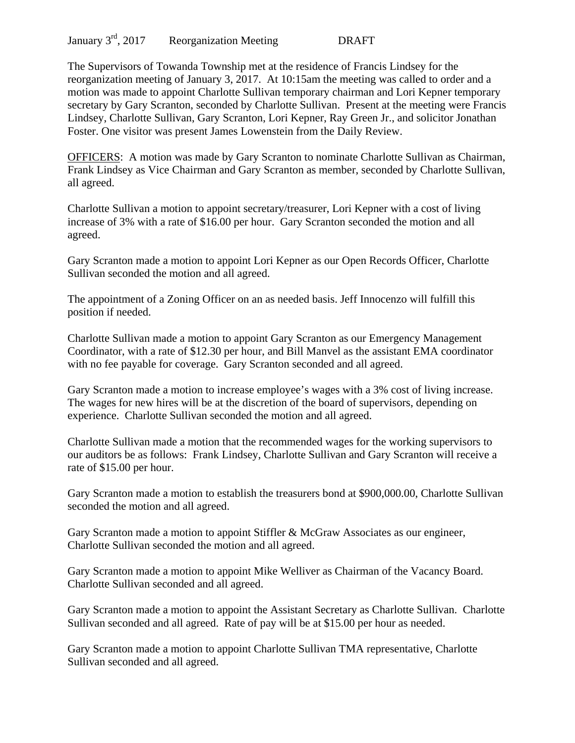The Supervisors of Towanda Township met at the residence of Francis Lindsey for the reorganization meeting of January 3, 2017. At 10:15am the meeting was called to order and a motion was made to appoint Charlotte Sullivan temporary chairman and Lori Kepner temporary secretary by Gary Scranton, seconded by Charlotte Sullivan. Present at the meeting were Francis Lindsey, Charlotte Sullivan, Gary Scranton, Lori Kepner, Ray Green Jr., and solicitor Jonathan Foster. One visitor was present James Lowenstein from the Daily Review.

OFFICERS: A motion was made by Gary Scranton to nominate Charlotte Sullivan as Chairman, Frank Lindsey as Vice Chairman and Gary Scranton as member, seconded by Charlotte Sullivan, all agreed.

Charlotte Sullivan a motion to appoint secretary/treasurer, Lori Kepner with a cost of living increase of 3% with a rate of \$16.00 per hour. Gary Scranton seconded the motion and all agreed.

Gary Scranton made a motion to appoint Lori Kepner as our Open Records Officer, Charlotte Sullivan seconded the motion and all agreed.

The appointment of a Zoning Officer on an as needed basis. Jeff Innocenzo will fulfill this position if needed.

Charlotte Sullivan made a motion to appoint Gary Scranton as our Emergency Management Coordinator, with a rate of \$12.30 per hour, and Bill Manvel as the assistant EMA coordinator with no fee payable for coverage. Gary Scranton seconded and all agreed.

Gary Scranton made a motion to increase employee's wages with a 3% cost of living increase. The wages for new hires will be at the discretion of the board of supervisors, depending on experience. Charlotte Sullivan seconded the motion and all agreed.

Charlotte Sullivan made a motion that the recommended wages for the working supervisors to our auditors be as follows: Frank Lindsey, Charlotte Sullivan and Gary Scranton will receive a rate of \$15.00 per hour.

Gary Scranton made a motion to establish the treasurers bond at \$900,000.00, Charlotte Sullivan seconded the motion and all agreed.

Gary Scranton made a motion to appoint Stiffler & McGraw Associates as our engineer, Charlotte Sullivan seconded the motion and all agreed.

Gary Scranton made a motion to appoint Mike Welliver as Chairman of the Vacancy Board. Charlotte Sullivan seconded and all agreed.

Gary Scranton made a motion to appoint the Assistant Secretary as Charlotte Sullivan. Charlotte Sullivan seconded and all agreed. Rate of pay will be at \$15.00 per hour as needed.

Gary Scranton made a motion to appoint Charlotte Sullivan TMA representative, Charlotte Sullivan seconded and all agreed.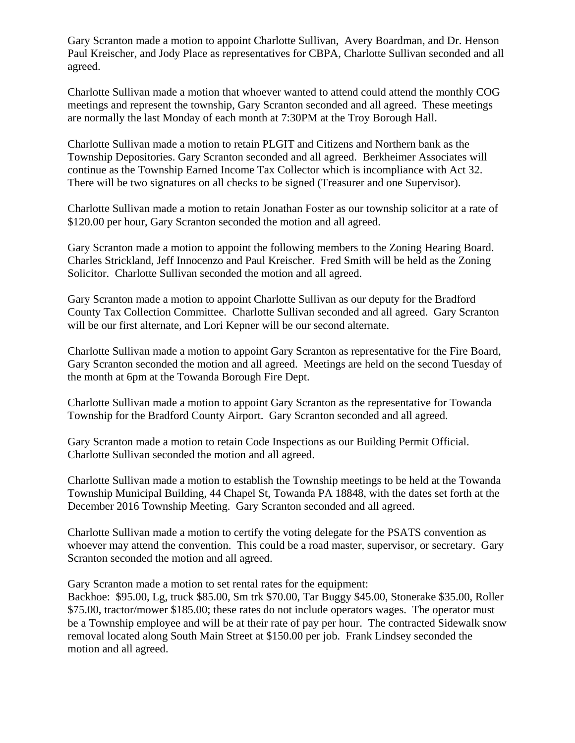Gary Scranton made a motion to appoint Charlotte Sullivan, Avery Boardman, and Dr. Henson Paul Kreischer, and Jody Place as representatives for CBPA, Charlotte Sullivan seconded and all agreed.

Charlotte Sullivan made a motion that whoever wanted to attend could attend the monthly COG meetings and represent the township, Gary Scranton seconded and all agreed. These meetings are normally the last Monday of each month at 7:30PM at the Troy Borough Hall.

Charlotte Sullivan made a motion to retain PLGIT and Citizens and Northern bank as the Township Depositories. Gary Scranton seconded and all agreed. Berkheimer Associates will continue as the Township Earned Income Tax Collector which is incompliance with Act 32. There will be two signatures on all checks to be signed (Treasurer and one Supervisor).

Charlotte Sullivan made a motion to retain Jonathan Foster as our township solicitor at a rate of \$120.00 per hour, Gary Scranton seconded the motion and all agreed.

Gary Scranton made a motion to appoint the following members to the Zoning Hearing Board. Charles Strickland, Jeff Innocenzo and Paul Kreischer. Fred Smith will be held as the Zoning Solicitor. Charlotte Sullivan seconded the motion and all agreed.

Gary Scranton made a motion to appoint Charlotte Sullivan as our deputy for the Bradford County Tax Collection Committee. Charlotte Sullivan seconded and all agreed. Gary Scranton will be our first alternate, and Lori Kepner will be our second alternate.

Charlotte Sullivan made a motion to appoint Gary Scranton as representative for the Fire Board, Gary Scranton seconded the motion and all agreed. Meetings are held on the second Tuesday of the month at 6pm at the Towanda Borough Fire Dept.

Charlotte Sullivan made a motion to appoint Gary Scranton as the representative for Towanda Township for the Bradford County Airport. Gary Scranton seconded and all agreed.

Gary Scranton made a motion to retain Code Inspections as our Building Permit Official. Charlotte Sullivan seconded the motion and all agreed.

Charlotte Sullivan made a motion to establish the Township meetings to be held at the Towanda Township Municipal Building, 44 Chapel St, Towanda PA 18848, with the dates set forth at the December 2016 Township Meeting. Gary Scranton seconded and all agreed.

Charlotte Sullivan made a motion to certify the voting delegate for the PSATS convention as whoever may attend the convention. This could be a road master, supervisor, or secretary. Gary Scranton seconded the motion and all agreed.

Gary Scranton made a motion to set rental rates for the equipment:

Backhoe: \$95.00, Lg, truck \$85.00, Sm trk \$70.00, Tar Buggy \$45.00, Stonerake \$35.00, Roller \$75.00, tractor/mower \$185.00; these rates do not include operators wages. The operator must be a Township employee and will be at their rate of pay per hour. The contracted Sidewalk snow removal located along South Main Street at \$150.00 per job. Frank Lindsey seconded the motion and all agreed.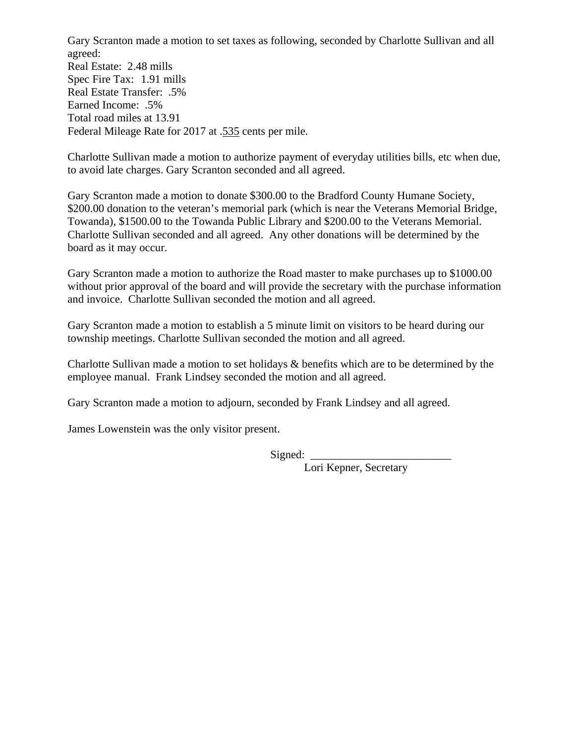Gary Scranton made a motion to set taxes as following, seconded by Charlotte Sullivan and all agreed:

Real Estate: 2.48 mills Spec Fire Tax: 1.91 mills Real Estate Transfer: .5% Earned Income: .5% Total road miles at 13.91 Federal Mileage Rate for 2017 at .535 cents per mile.

Charlotte Sullivan made a motion to authorize payment of everyday utilities bills, etc when due, to avoid late charges. Gary Scranton seconded and all agreed.

Gary Scranton made a motion to donate \$300.00 to the Bradford County Humane Society, \$200.00 donation to the veteran's memorial park (which is near the Veterans Memorial Bridge, Towanda), \$1500.00 to the Towanda Public Library and \$200.00 to the Veterans Memorial. Charlotte Sullivan seconded and all agreed. Any other donations will be determined by the board as it may occur.

Gary Scranton made a motion to authorize the Road master to make purchases up to \$1000.00 without prior approval of the board and will provide the secretary with the purchase information and invoice. Charlotte Sullivan seconded the motion and all agreed.

Gary Scranton made a motion to establish a 5 minute limit on visitors to be heard during our township meetings. Charlotte Sullivan seconded the motion and all agreed.

Charlotte Sullivan made a motion to set holidays & benefits which are to be determined by the employee manual. Frank Lindsey seconded the motion and all agreed.

Gary Scranton made a motion to adjourn, seconded by Frank Lindsey and all agreed.

James Lowenstein was the only visitor present.

 $Sigma$ :  $\Box$ 

Lori Kepner, Secretary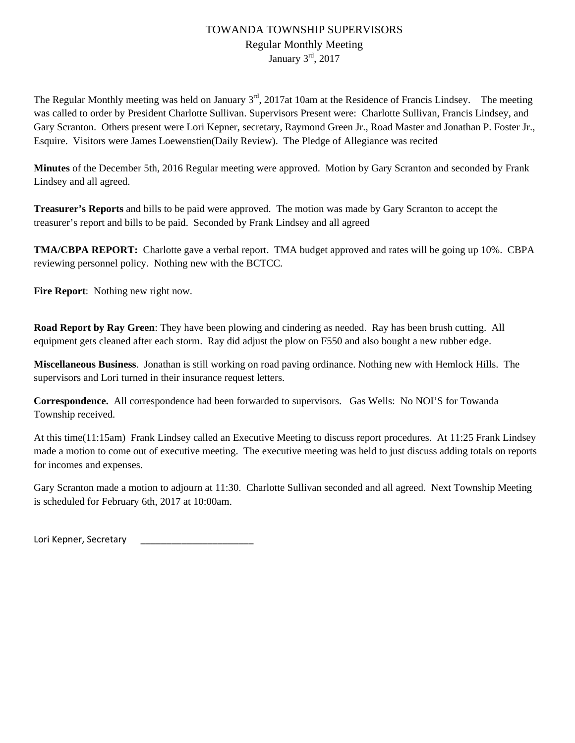# TOWANDA TOWNSHIP SUPERVISORS Regular Monthly Meeting January 3rd, 2017

The Regular Monthly meeting was held on January  $3<sup>rd</sup>$ , 2017at 10am at the Residence of Francis Lindsey. The meeting was called to order by President Charlotte Sullivan. Supervisors Present were: Charlotte Sullivan, Francis Lindsey, and Gary Scranton. Others present were Lori Kepner, secretary, Raymond Green Jr., Road Master and Jonathan P. Foster Jr., Esquire. Visitors were James Loewenstien(Daily Review). The Pledge of Allegiance was recited

**Minutes** of the December 5th, 2016 Regular meeting were approved. Motion by Gary Scranton and seconded by Frank Lindsey and all agreed.

**Treasurer's Reports** and bills to be paid were approved. The motion was made by Gary Scranton to accept the treasurer's report and bills to be paid. Seconded by Frank Lindsey and all agreed

**TMA/CBPA REPORT:** Charlotte gave a verbal report. TMA budget approved and rates will be going up 10%. CBPA reviewing personnel policy. Nothing new with the BCTCC.

**Fire Report**: Nothing new right now.

**Road Report by Ray Green**: They have been plowing and cindering as needed. Ray has been brush cutting. All equipment gets cleaned after each storm. Ray did adjust the plow on F550 and also bought a new rubber edge.

**Miscellaneous Business**. Jonathan is still working on road paving ordinance. Nothing new with Hemlock Hills. The supervisors and Lori turned in their insurance request letters.

**Correspondence.** All correspondence had been forwarded to supervisors. Gas Wells: No NOI'S for Towanda Township received.

At this time(11:15am) Frank Lindsey called an Executive Meeting to discuss report procedures. At 11:25 Frank Lindsey made a motion to come out of executive meeting. The executive meeting was held to just discuss adding totals on reports for incomes and expenses.

Gary Scranton made a motion to adjourn at 11:30. Charlotte Sullivan seconded and all agreed. Next Township Meeting is scheduled for February 6th, 2017 at 10:00am.

Lori Kepner, Secretary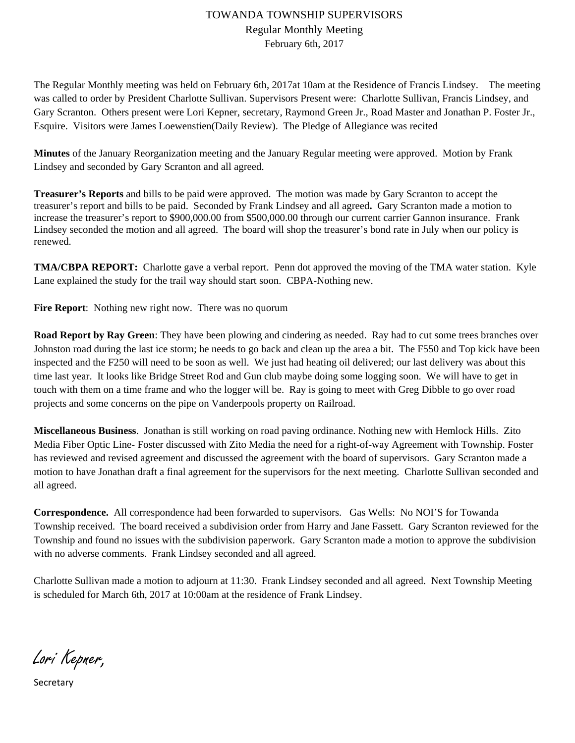# TOWANDA TOWNSHIP SUPERVISORS Regular Monthly Meeting February 6th, 2017

The Regular Monthly meeting was held on February 6th, 2017at 10am at the Residence of Francis Lindsey. The meeting was called to order by President Charlotte Sullivan. Supervisors Present were: Charlotte Sullivan, Francis Lindsey, and Gary Scranton. Others present were Lori Kepner, secretary, Raymond Green Jr., Road Master and Jonathan P. Foster Jr., Esquire. Visitors were James Loewenstien(Daily Review). The Pledge of Allegiance was recited

**Minutes** of the January Reorganization meeting and the January Regular meeting were approved. Motion by Frank Lindsey and seconded by Gary Scranton and all agreed.

**Treasurer's Reports** and bills to be paid were approved. The motion was made by Gary Scranton to accept the treasurer's report and bills to be paid. Seconded by Frank Lindsey and all agreed**.** Gary Scranton made a motion to increase the treasurer's report to \$900,000.00 from \$500,000.00 through our current carrier Gannon insurance. Frank Lindsey seconded the motion and all agreed. The board will shop the treasurer's bond rate in July when our policy is renewed.

**TMA/CBPA REPORT:** Charlotte gave a verbal report. Penn dot approved the moving of the TMA water station. Kyle Lane explained the study for the trail way should start soon. CBPA-Nothing new.

**Fire Report**: Nothing new right now. There was no quorum

**Road Report by Ray Green**: They have been plowing and cindering as needed. Ray had to cut some trees branches over Johnston road during the last ice storm; he needs to go back and clean up the area a bit. The F550 and Top kick have been inspected and the F250 will need to be soon as well. We just had heating oil delivered; our last delivery was about this time last year. It looks like Bridge Street Rod and Gun club maybe doing some logging soon. We will have to get in touch with them on a time frame and who the logger will be. Ray is going to meet with Greg Dibble to go over road projects and some concerns on the pipe on Vanderpools property on Railroad.

**Miscellaneous Business**. Jonathan is still working on road paving ordinance. Nothing new with Hemlock Hills. Zito Media Fiber Optic Line- Foster discussed with Zito Media the need for a right-of-way Agreement with Township. Foster has reviewed and revised agreement and discussed the agreement with the board of supervisors. Gary Scranton made a motion to have Jonathan draft a final agreement for the supervisors for the next meeting. Charlotte Sullivan seconded and all agreed.

**Correspondence.** All correspondence had been forwarded to supervisors. Gas Wells: No NOI'S for Towanda Township received. The board received a subdivision order from Harry and Jane Fassett. Gary Scranton reviewed for the Township and found no issues with the subdivision paperwork. Gary Scranton made a motion to approve the subdivision with no adverse comments. Frank Lindsey seconded and all agreed.

Charlotte Sullivan made a motion to adjourn at 11:30. Frank Lindsey seconded and all agreed. Next Township Meeting is scheduled for March 6th, 2017 at 10:00am at the residence of Frank Lindsey.

Lori Kepner,

Secretary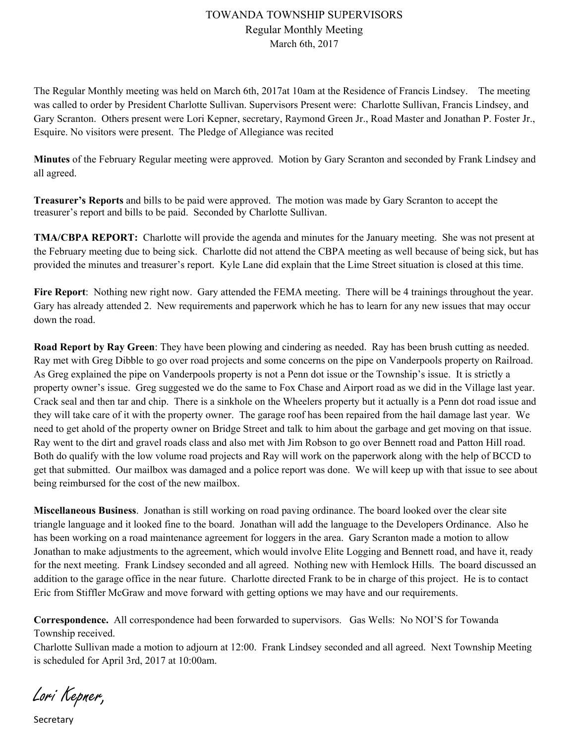# TOWANDA TOWNSHIP SUPERVISORS Regular Monthly Meeting March 6th, 2017

The Regular Monthly meeting was held on March 6th, 2017at 10am at the Residence of Francis Lindsey. The meeting was called to order by President Charlotte Sullivan. Supervisors Present were: Charlotte Sullivan, Francis Lindsey, and Gary Scranton. Others present were Lori Kepner, secretary, Raymond Green Jr., Road Master and Jonathan P. Foster Jr., Esquire. No visitors were present. The Pledge of Allegiance was recited

**Minutes** of the February Regular meeting were approved. Motion by Gary Scranton and seconded by Frank Lindsey and all agreed.

**Treasurer's Reports** and bills to be paid were approved. The motion was made by Gary Scranton to accept the treasurer's report and bills to be paid. Seconded by Charlotte Sullivan.

**TMA/CBPA REPORT:** Charlotte will provide the agenda and minutes for the January meeting. She was not present at the February meeting due to being sick. Charlotte did not attend the CBPA meeting as well because of being sick, but has provided the minutes and treasurer's report. Kyle Lane did explain that the Lime Street situation is closed at this time.

**Fire Report**: Nothing new right now. Gary attended the FEMA meeting. There will be 4 trainings throughout the year. Gary has already attended 2. New requirements and paperwork which he has to learn for any new issues that may occur down the road.

**Road Report by Ray Green**: They have been plowing and cindering as needed. Ray has been brush cutting as needed. Ray met with Greg Dibble to go over road projects and some concerns on the pipe on Vanderpools property on Railroad. As Greg explained the pipe on Vanderpools property is not a Penn dot issue or the Township's issue. It is strictly a property owner's issue. Greg suggested we do the same to Fox Chase and Airport road as we did in the Village last year. Crack seal and then tar and chip. There is a sinkhole on the Wheelers property but it actually is a Penn dot road issue and they will take care of it with the property owner. The garage roof has been repaired from the hail damage last year. We need to get ahold of the property owner on Bridge Street and talk to him about the garbage and get moving on that issue. Ray went to the dirt and gravel roads class and also met with Jim Robson to go over Bennett road and Patton Hill road. Both do qualify with the low volume road projects and Ray will work on the paperwork along with the help of BCCD to get that submitted. Our mailbox was damaged and a police report was done. We will keep up with that issue to see about being reimbursed for the cost of the new mailbox.

**Miscellaneous Business**. Jonathan is still working on road paving ordinance. The board looked over the clear site triangle language and it looked fine to the board. Jonathan will add the language to the Developers Ordinance. Also he has been working on a road maintenance agreement for loggers in the area. Gary Scranton made a motion to allow Jonathan to make adjustments to the agreement, which would involve Elite Logging and Bennett road, and have it, ready for the next meeting. Frank Lindsey seconded and all agreed. Nothing new with Hemlock Hills. The board discussed an addition to the garage office in the near future. Charlotte directed Frank to be in charge of this project. He is to contact Eric from Stiffler McGraw and move forward with getting options we may have and our requirements.

**Correspondence.** All correspondence had been forwarded to supervisors. Gas Wells: No NOI'S for Towanda Township received.

Charlotte Sullivan made a motion to adjourn at 12:00. Frank Lindsey seconded and all agreed. Next Township Meeting is scheduled for April 3rd, 2017 at 10:00am.

Lori Kepner,

Secretary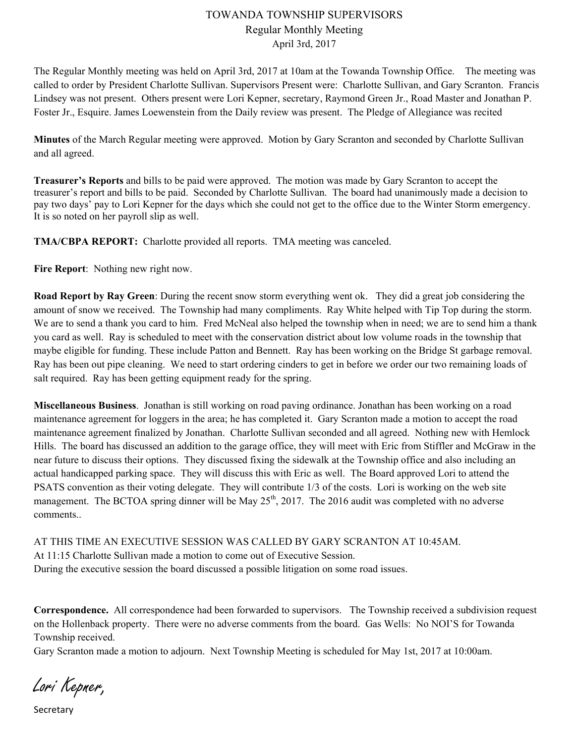#### TOWANDA TOWNSHIP SUPERVISORS Regular Monthly Meeting April 3rd, 2017

The Regular Monthly meeting was held on April 3rd, 2017 at 10am at the Towanda Township Office. The meeting was called to order by President Charlotte Sullivan. Supervisors Present were: Charlotte Sullivan, and Gary Scranton. Francis Lindsey was not present. Others present were Lori Kepner, secretary, Raymond Green Jr., Road Master and Jonathan P. Foster Jr., Esquire. James Loewenstein from the Daily review was present. The Pledge of Allegiance was recited

**Minutes** of the March Regular meeting were approved. Motion by Gary Scranton and seconded by Charlotte Sullivan and all agreed.

**Treasurer's Reports** and bills to be paid were approved. The motion was made by Gary Scranton to accept the treasurer's report and bills to be paid. Seconded by Charlotte Sullivan. The board had unanimously made a decision to pay two days' pay to Lori Kepner for the days which she could not get to the office due to the Winter Storm emergency. It is so noted on her payroll slip as well.

**TMA/CBPA REPORT:** Charlotte provided all reports. TMA meeting was canceled.

**Fire Report**: Nothing new right now.

**Road Report by Ray Green**: During the recent snow storm everything went ok. They did a great job considering the amount of snow we received. The Township had many compliments. Ray White helped with Tip Top during the storm. We are to send a thank you card to him. Fred McNeal also helped the township when in need; we are to send him a thank you card as well. Ray is scheduled to meet with the conservation district about low volume roads in the township that maybe eligible for funding. These include Patton and Bennett. Ray has been working on the Bridge St garbage removal. Ray has been out pipe cleaning. We need to start ordering cinders to get in before we order our two remaining loads of salt required. Ray has been getting equipment ready for the spring.

**Miscellaneous Business**. Jonathan is still working on road paving ordinance. Jonathan has been working on a road maintenance agreement for loggers in the area; he has completed it. Gary Scranton made a motion to accept the road maintenance agreement finalized by Jonathan. Charlotte Sullivan seconded and all agreed. Nothing new with Hemlock Hills. The board has discussed an addition to the garage office, they will meet with Eric from Stiffler and McGraw in the near future to discuss their options. They discussed fixing the sidewalk at the Township office and also including an actual handicapped parking space. They will discuss this with Eric as well. The Board approved Lori to attend the PSATS convention as their voting delegate. They will contribute 1/3 of the costs. Lori is working on the web site management. The BCTOA spring dinner will be May  $25<sup>th</sup>$ , 2017. The 2016 audit was completed with no adverse comments..

AT THIS TIME AN EXECUTIVE SESSION WAS CALLED BY GARY SCRANTON AT 10:45AM. At 11:15 Charlotte Sullivan made a motion to come out of Executive Session. During the executive session the board discussed a possible litigation on some road issues.

**Correspondence.** All correspondence had been forwarded to supervisors. The Township received a subdivision request on the Hollenback property. There were no adverse comments from the board. Gas Wells: No NOI'S for Towanda Township received.

Gary Scranton made a motion to adjourn. Next Township Meeting is scheduled for May 1st, 2017 at 10:00am.

Lori Kepner,

Secretary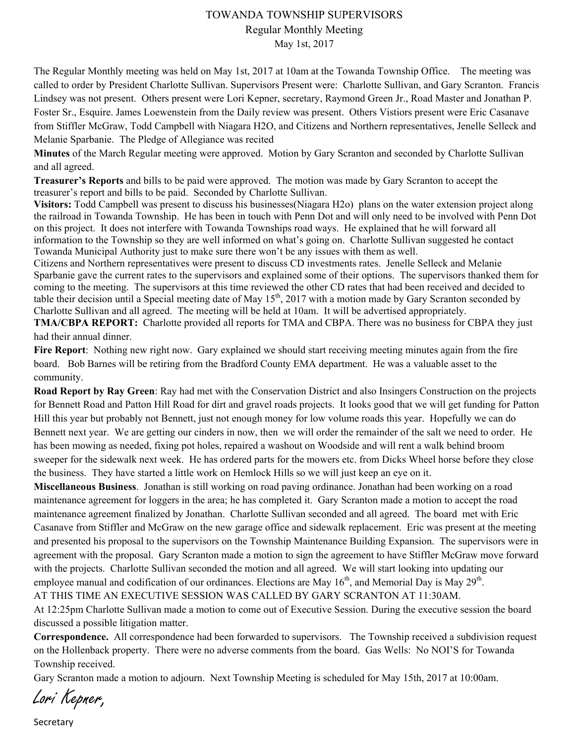#### TOWANDA TOWNSHIP SUPERVISORS

Regular Monthly Meeting

May 1st, 2017

The Regular Monthly meeting was held on May 1st, 2017 at 10am at the Towanda Township Office. The meeting was called to order by President Charlotte Sullivan. Supervisors Present were: Charlotte Sullivan, and Gary Scranton. Francis Lindsey was not present. Others present were Lori Kepner, secretary, Raymond Green Jr., Road Master and Jonathan P. Foster Sr., Esquire. James Loewenstein from the Daily review was present. Others Vistiors present were Eric Casanave from Stiffler McGraw, Todd Campbell with Niagara H2O, and Citizens and Northern representatives, Jenelle Selleck and Melanie Sparbanie. The Pledge of Allegiance was recited

**Minutes** of the March Regular meeting were approved. Motion by Gary Scranton and seconded by Charlotte Sullivan and all agreed.

**Treasurer's Reports** and bills to be paid were approved. The motion was made by Gary Scranton to accept the treasurer's report and bills to be paid. Seconded by Charlotte Sullivan.

**Visitors:** Todd Campbell was present to discuss his businesses(Niagara H2o) plans on the water extension project along the railroad in Towanda Township. He has been in touch with Penn Dot and will only need to be involved with Penn Dot on this project. It does not interfere with Towanda Townships road ways. He explained that he will forward all information to the Township so they are well informed on what's going on. Charlotte Sullivan suggested he contact Towanda Municipal Authority just to make sure there won't be any issues with them as well.

Citizens and Northern representatives were present to discuss CD investments rates. Jenelle Selleck and Melanie Sparbanie gave the current rates to the supervisors and explained some of their options. The supervisors thanked them for coming to the meeting. The supervisors at this time reviewed the other CD rates that had been received and decided to table their decision until a Special meeting date of May  $15<sup>th</sup>$ , 2017 with a motion made by Gary Scranton seconded by Charlotte Sullivan and all agreed. The meeting will be held at 10am. It will be advertised appropriately.

**TMA/CBPA REPORT:** Charlotte provided all reports for TMA and CBPA. There was no business for CBPA they just had their annual dinner.

**Fire Report**: Nothing new right now. Gary explained we should start receiving meeting minutes again from the fire board. Bob Barnes will be retiring from the Bradford County EMA department. He was a valuable asset to the community.

**Road Report by Ray Green**: Ray had met with the Conservation District and also Insingers Construction on the projects for Bennett Road and Patton Hill Road for dirt and gravel roads projects. It looks good that we will get funding for Patton Hill this year but probably not Bennett, just not enough money for low volume roads this year. Hopefully we can do Bennett next year. We are getting our cinders in now, then we will order the remainder of the salt we need to order. He has been mowing as needed, fixing pot holes, repaired a washout on Woodside and will rent a walk behind broom sweeper for the sidewalk next week. He has ordered parts for the mowers etc. from Dicks Wheel horse before they close the business. They have started a little work on Hemlock Hills so we will just keep an eye on it.

**Miscellaneous Business**. Jonathan is still working on road paving ordinance. Jonathan had been working on a road maintenance agreement for loggers in the area; he has completed it. Gary Scranton made a motion to accept the road maintenance agreement finalized by Jonathan. Charlotte Sullivan seconded and all agreed. The board met with Eric Casanave from Stiffler and McGraw on the new garage office and sidewalk replacement. Eric was present at the meeting and presented his proposal to the supervisors on the Township Maintenance Building Expansion. The supervisors were in agreement with the proposal. Gary Scranton made a motion to sign the agreement to have Stiffler McGraw move forward with the projects. Charlotte Sullivan seconded the motion and all agreed. We will start looking into updating our employee manual and codification of our ordinances. Elections are May  $16<sup>th</sup>$ , and Memorial Day is May 29<sup>th</sup>.

AT THIS TIME AN EXECUTIVE SESSION WAS CALLED BY GARY SCRANTON AT 11:30AM.

At 12:25pm Charlotte Sullivan made a motion to come out of Executive Session. During the executive session the board discussed a possible litigation matter.

**Correspondence.** All correspondence had been forwarded to supervisors. The Township received a subdivision request on the Hollenback property. There were no adverse comments from the board. Gas Wells: No NOI'S for Towanda Township received.

Gary Scranton made a motion to adjourn. Next Township Meeting is scheduled for May 15th, 2017 at 10:00am.

Lori Kepner,

Secretary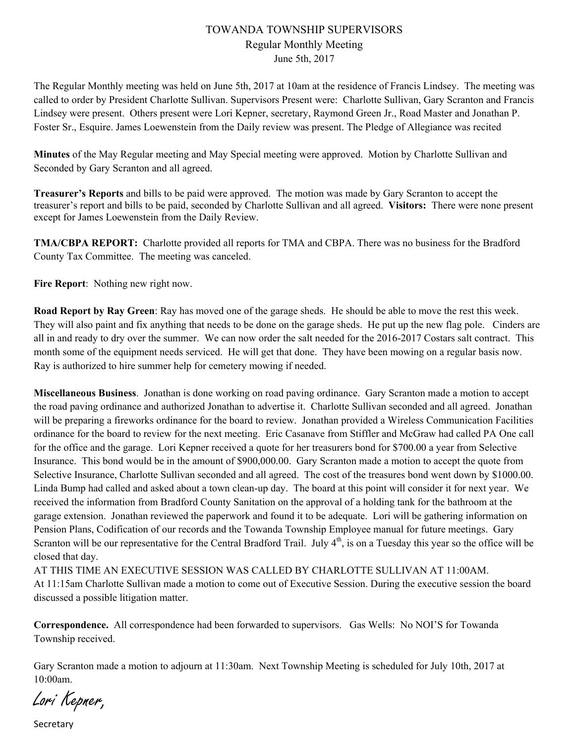#### TOWANDA TOWNSHIP SUPERVISORS Regular Monthly Meeting June 5th, 2017

The Regular Monthly meeting was held on June 5th, 2017 at 10am at the residence of Francis Lindsey. The meeting was called to order by President Charlotte Sullivan. Supervisors Present were: Charlotte Sullivan, Gary Scranton and Francis Lindsey were present. Others present were Lori Kepner, secretary, Raymond Green Jr., Road Master and Jonathan P. Foster Sr., Esquire. James Loewenstein from the Daily review was present. The Pledge of Allegiance was recited

**Minutes** of the May Regular meeting and May Special meeting were approved. Motion by Charlotte Sullivan and Seconded by Gary Scranton and all agreed.

**Treasurer's Reports** and bills to be paid were approved. The motion was made by Gary Scranton to accept the treasurer's report and bills to be paid, seconded by Charlotte Sullivan and all agreed. **Visitors:** There were none present except for James Loewenstein from the Daily Review.

**TMA/CBPA REPORT:** Charlotte provided all reports for TMA and CBPA. There was no business for the Bradford County Tax Committee. The meeting was canceled.

**Fire Report**: Nothing new right now.

**Road Report by Ray Green**: Ray has moved one of the garage sheds. He should be able to move the rest this week. They will also paint and fix anything that needs to be done on the garage sheds. He put up the new flag pole. Cinders are all in and ready to dry over the summer. We can now order the salt needed for the 2016-2017 Costars salt contract. This month some of the equipment needs serviced. He will get that done. They have been mowing on a regular basis now. Ray is authorized to hire summer help for cemetery mowing if needed.

**Miscellaneous Business**. Jonathan is done working on road paving ordinance. Gary Scranton made a motion to accept the road paving ordinance and authorized Jonathan to advertise it. Charlotte Sullivan seconded and all agreed. Jonathan will be preparing a fireworks ordinance for the board to review. Jonathan provided a Wireless Communication Facilities ordinance for the board to review for the next meeting. Eric Casanave from Stiffler and McGraw had called PA One call for the office and the garage. Lori Kepner received a quote for her treasurers bond for \$700.00 a year from Selective Insurance. This bond would be in the amount of \$900,000.00. Gary Scranton made a motion to accept the quote from Selective Insurance, Charlotte Sullivan seconded and all agreed. The cost of the treasures bond went down by \$1000.00. Linda Bump had called and asked about a town clean-up day. The board at this point will consider it for next year. We received the information from Bradford County Sanitation on the approval of a holding tank for the bathroom at the garage extension. Jonathan reviewed the paperwork and found it to be adequate. Lori will be gathering information on Pension Plans, Codification of our records and the Towanda Township Employee manual for future meetings. Gary Scranton will be our representative for the Central Bradford Trail. July  $4<sup>th</sup>$ , is on a Tuesday this year so the office will be closed that day.

AT THIS TIME AN EXECUTIVE SESSION WAS CALLED BY CHARLOTTE SULLIVAN AT 11:00AM. At 11:15am Charlotte Sullivan made a motion to come out of Executive Session. During the executive session the board discussed a possible litigation matter.

**Correspondence.** All correspondence had been forwarded to supervisors. Gas Wells: No NOI'S for Towanda Township received.

Gary Scranton made a motion to adjourn at 11:30am. Next Township Meeting is scheduled for July 10th, 2017 at 10:00am.

Lori Kepner,

Secretary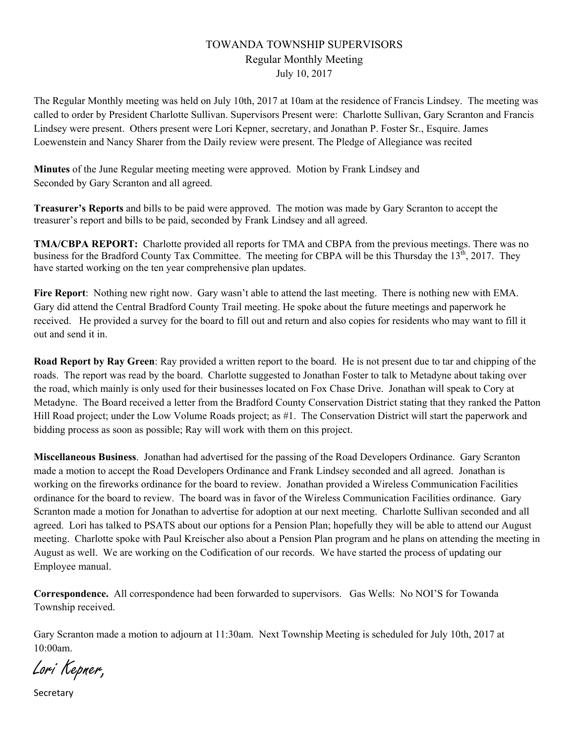# TOWANDA TOWNSHIP SUPERVISORS Regular Monthly Meeting July 10, 2017

The Regular Monthly meeting was held on July 10th, 2017 at 10am at the residence of Francis Lindsey. The meeting was called to order by President Charlotte Sullivan. Supervisors Present were: Charlotte Sullivan, Gary Scranton and Francis Lindsey were present. Others present were Lori Kepner, secretary, and Jonathan P. Foster Sr., Esquire. James Loewenstein and Nancy Sharer from the Daily review were present. The Pledge of Allegiance was recited

**Minutes** of the June Regular meeting meeting were approved. Motion by Frank Lindsey and Seconded by Gary Scranton and all agreed.

**Treasurer's Reports** and bills to be paid were approved. The motion was made by Gary Scranton to accept the treasurer's report and bills to be paid, seconded by Frank Lindsey and all agreed.

**TMA/CBPA REPORT:** Charlotte provided all reports for TMA and CBPA from the previous meetings. There was no business for the Bradford County Tax Committee. The meeting for CBPA will be this Thursday the  $13<sup>th</sup>$ , 2017. They have started working on the ten year comprehensive plan updates.

**Fire Report**: Nothing new right now. Gary wasn't able to attend the last meeting. There is nothing new with EMA. Gary did attend the Central Bradford County Trail meeting. He spoke about the future meetings and paperwork he received. He provided a survey for the board to fill out and return and also copies for residents who may want to fill it out and send it in.

**Road Report by Ray Green**: Ray provided a written report to the board. He is not present due to tar and chipping of the roads. The report was read by the board. Charlotte suggested to Jonathan Foster to talk to Metadyne about taking over the road, which mainly is only used for their businesses located on Fox Chase Drive. Jonathan will speak to Cory at Metadyne. The Board received a letter from the Bradford County Conservation District stating that they ranked the Patton Hill Road project; under the Low Volume Roads project; as #1. The Conservation District will start the paperwork and bidding process as soon as possible; Ray will work with them on this project.

**Miscellaneous Business**. Jonathan had advertised for the passing of the Road Developers Ordinance. Gary Scranton made a motion to accept the Road Developers Ordinance and Frank Lindsey seconded and all agreed. Jonathan is working on the fireworks ordinance for the board to review. Jonathan provided a Wireless Communication Facilities ordinance for the board to review. The board was in favor of the Wireless Communication Facilities ordinance. Gary Scranton made a motion for Jonathan to advertise for adoption at our next meeting. Charlotte Sullivan seconded and all agreed. Lori has talked to PSATS about our options for a Pension Plan; hopefully they will be able to attend our August meeting. Charlotte spoke with Paul Kreischer also about a Pension Plan program and he plans on attending the meeting in August as well. We are working on the Codification of our records. We have started the process of updating our Employee manual.

**Correspondence.** All correspondence had been forwarded to supervisors. Gas Wells: No NOI'S for Towanda Township received.

Gary Scranton made a motion to adjourn at 11:30am. Next Township Meeting is scheduled for July 10th, 2017 at 10:00am.

Lori Kepner,

**Secretary**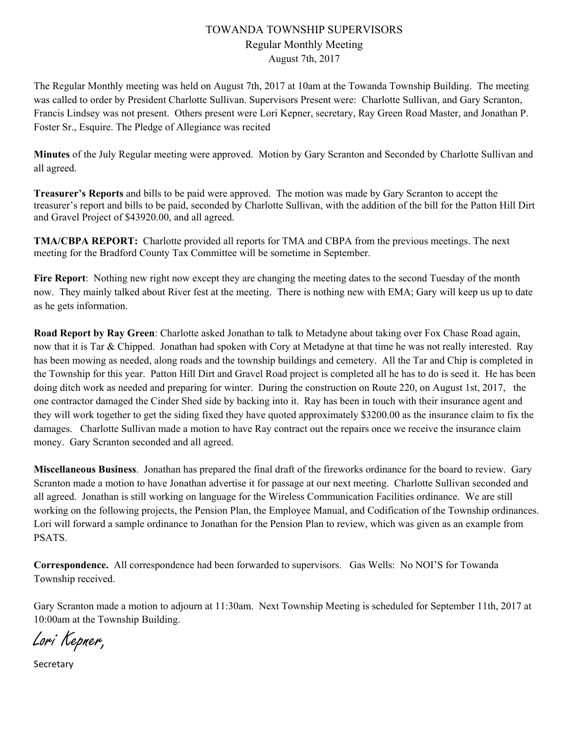### TOWANDA TOWNSHIP SUPERVISORS Regular Monthly Meeting August 7th, 2017

The Regular Monthly meeting was held on August 7th, 2017 at 10am at the Towanda Township Building. The meeting was called to order by President Charlotte Sullivan. Supervisors Present were: Charlotte Sullivan, and Gary Scranton, Francis Lindsey was not present. Others present were Lori Kepner, secretary, Ray Green Road Master, and Jonathan P. Foster Sr., Esquire. The Pledge of Allegiance was recited

**Minutes** of the July Regular meeting were approved. Motion by Gary Scranton and Seconded by Charlotte Sullivan and all agreed.

**Treasurer's Reports** and bills to be paid were approved. The motion was made by Gary Scranton to accept the treasurer's report and bills to be paid, seconded by Charlotte Sullivan, with the addition of the bill for the Patton Hill Dirt and Gravel Project of \$43920.00, and all agreed.

**TMA/CBPA REPORT:** Charlotte provided all reports for TMA and CBPA from the previous meetings. The next meeting for the Bradford County Tax Committee will be sometime in September.

**Fire Report**: Nothing new right now except they are changing the meeting dates to the second Tuesday of the month now. They mainly talked about River fest at the meeting. There is nothing new with EMA; Gary will keep us up to date as he gets information.

**Road Report by Ray Green**: Charlotte asked Jonathan to talk to Metadyne about taking over Fox Chase Road again, now that it is Tar & Chipped. Jonathan had spoken with Cory at Metadyne at that time he was not really interested. Ray has been mowing as needed, along roads and the township buildings and cemetery. All the Tar and Chip is completed in the Township for this year. Patton Hill Dirt and Gravel Road project is completed all he has to do is seed it. He has been doing ditch work as needed and preparing for winter. During the construction on Route 220, on August 1st, 2017, the one contractor damaged the Cinder Shed side by backing into it. Ray has been in touch with their insurance agent and they will work together to get the siding fixed they have quoted approximately \$3200.00 as the insurance claim to fix the damages. Charlotte Sullivan made a motion to have Ray contract out the repairs once we receive the insurance claim money. Gary Scranton seconded and all agreed.

**Miscellaneous Business**. Jonathan has prepared the final draft of the fireworks ordinance for the board to review. Gary Scranton made a motion to have Jonathan advertise it for passage at our next meeting. Charlotte Sullivan seconded and all agreed. Jonathan is still working on language for the Wireless Communication Facilities ordinance. We are still working on the following projects, the Pension Plan, the Employee Manual, and Codification of the Township ordinances. Lori will forward a sample ordinance to Jonathan for the Pension Plan to review, which was given as an example from PSATS.

**Correspondence.** All correspondence had been forwarded to supervisors. Gas Wells: No NOI'S for Towanda Township received.

Gary Scranton made a motion to adjourn at 11:30am. Next Township Meeting is scheduled for September 11th, 2017 at 10:00am at the Township Building.

Lori Kepner,

Secretary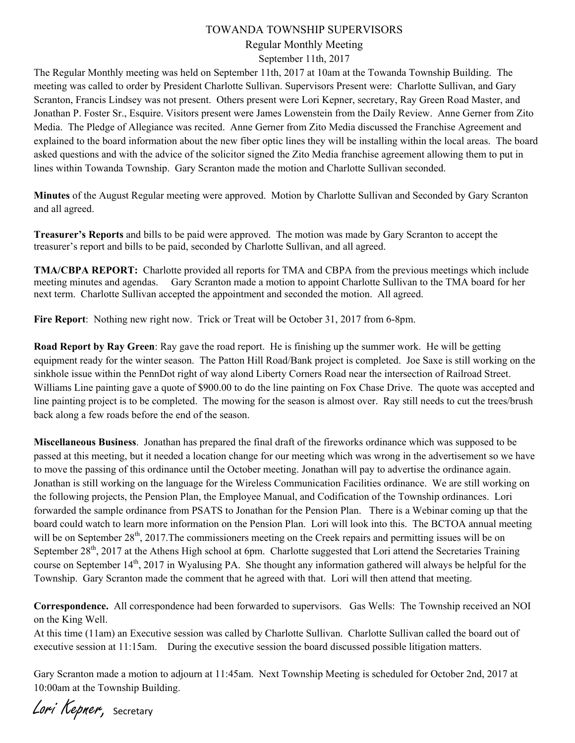### TOWANDA TOWNSHIP SUPERVISORS Regular Monthly Meeting September 11th, 2017

The Regular Monthly meeting was held on September 11th, 2017 at 10am at the Towanda Township Building. The meeting was called to order by President Charlotte Sullivan. Supervisors Present were: Charlotte Sullivan, and Gary Scranton, Francis Lindsey was not present. Others present were Lori Kepner, secretary, Ray Green Road Master, and Jonathan P. Foster Sr., Esquire. Visitors present were James Lowenstein from the Daily Review. Anne Gerner from Zito Media. The Pledge of Allegiance was recited. Anne Gerner from Zito Media discussed the Franchise Agreement and explained to the board information about the new fiber optic lines they will be installing within the local areas. The board asked questions and with the advice of the solicitor signed the Zito Media franchise agreement allowing them to put in lines within Towanda Township. Gary Scranton made the motion and Charlotte Sullivan seconded.

**Minutes** of the August Regular meeting were approved. Motion by Charlotte Sullivan and Seconded by Gary Scranton and all agreed.

**Treasurer's Reports** and bills to be paid were approved. The motion was made by Gary Scranton to accept the treasurer's report and bills to be paid, seconded by Charlotte Sullivan, and all agreed.

**TMA/CBPA REPORT:** Charlotte provided all reports for TMA and CBPA from the previous meetings which include meeting minutes and agendas. Gary Scranton made a motion to appoint Charlotte Sullivan to the TMA board for her next term. Charlotte Sullivan accepted the appointment and seconded the motion. All agreed.

**Fire Report**: Nothing new right now. Trick or Treat will be October 31, 2017 from 6-8pm.

**Road Report by Ray Green**: Ray gave the road report. He is finishing up the summer work. He will be getting equipment ready for the winter season. The Patton Hill Road/Bank project is completed. Joe Saxe is still working on the sinkhole issue within the PennDot right of way alond Liberty Corners Road near the intersection of Railroad Street. Williams Line painting gave a quote of \$900.00 to do the line painting on Fox Chase Drive. The quote was accepted and line painting project is to be completed. The mowing for the season is almost over. Ray still needs to cut the trees/brush back along a few roads before the end of the season.

**Miscellaneous Business**. Jonathan has prepared the final draft of the fireworks ordinance which was supposed to be passed at this meeting, but it needed a location change for our meeting which was wrong in the advertisement so we have to move the passing of this ordinance until the October meeting. Jonathan will pay to advertise the ordinance again. Jonathan is still working on the language for the Wireless Communication Facilities ordinance. We are still working on the following projects, the Pension Plan, the Employee Manual, and Codification of the Township ordinances. Lori forwarded the sample ordinance from PSATS to Jonathan for the Pension Plan. There is a Webinar coming up that the board could watch to learn more information on the Pension Plan. Lori will look into this. The BCTOA annual meeting will be on September  $28<sup>th</sup>$ , 2017. The commissioners meeting on the Creek repairs and permitting issues will be on September  $28<sup>th</sup>$ , 2017 at the Athens High school at 6pm. Charlotte suggested that Lori attend the Secretaries Training course on September 14<sup>th</sup>, 2017 in Wyalusing PA. She thought any information gathered will always be helpful for the Township. Gary Scranton made the comment that he agreed with that. Lori will then attend that meeting.

**Correspondence.** All correspondence had been forwarded to supervisors. Gas Wells: The Township received an NOI on the King Well.

At this time (11am) an Executive session was called by Charlotte Sullivan. Charlotte Sullivan called the board out of executive session at 11:15am. During the executive session the board discussed possible litigation matters.

Gary Scranton made a motion to adjourn at 11:45am. Next Township Meeting is scheduled for October 2nd, 2017 at 10:00am at the Township Building.

Lori Kepner, Secretary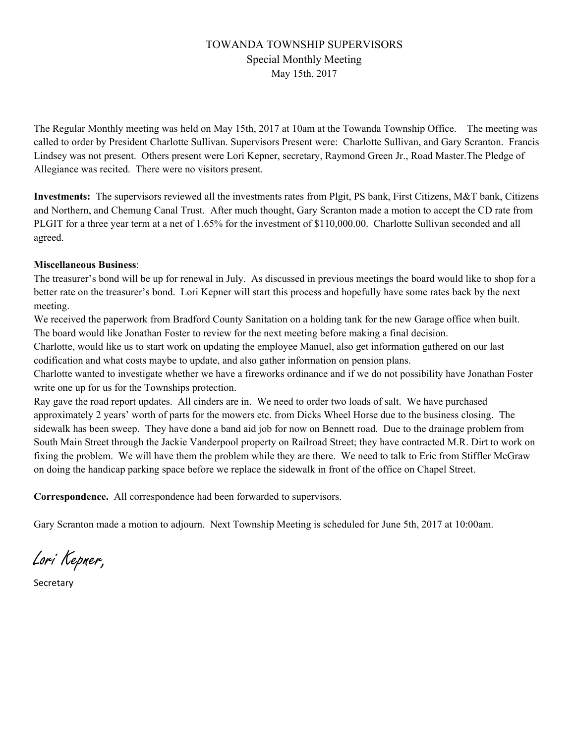# TOWANDA TOWNSHIP SUPERVISORS Special Monthly Meeting May 15th, 2017

The Regular Monthly meeting was held on May 15th, 2017 at 10am at the Towanda Township Office. The meeting was called to order by President Charlotte Sullivan. Supervisors Present were: Charlotte Sullivan, and Gary Scranton. Francis Lindsey was not present. Others present were Lori Kepner, secretary, Raymond Green Jr., Road Master.The Pledge of Allegiance was recited. There were no visitors present.

**Investments:** The supervisors reviewed all the investments rates from Plgit, PS bank, First Citizens, M&T bank, Citizens and Northern, and Chemung Canal Trust. After much thought, Gary Scranton made a motion to accept the CD rate from PLGIT for a three year term at a net of 1.65% for the investment of \$110,000.00. Charlotte Sullivan seconded and all agreed.

#### **Miscellaneous Business**:

The treasurer's bond will be up for renewal in July. As discussed in previous meetings the board would like to shop for a better rate on the treasurer's bond. Lori Kepner will start this process and hopefully have some rates back by the next meeting.

We received the paperwork from Bradford County Sanitation on a holding tank for the new Garage office when built. The board would like Jonathan Foster to review for the next meeting before making a final decision.

Charlotte, would like us to start work on updating the employee Manuel, also get information gathered on our last codification and what costs maybe to update, and also gather information on pension plans.

Charlotte wanted to investigate whether we have a fireworks ordinance and if we do not possibility have Jonathan Foster write one up for us for the Townships protection.

Ray gave the road report updates. All cinders are in. We need to order two loads of salt. We have purchased approximately 2 years' worth of parts for the mowers etc. from Dicks Wheel Horse due to the business closing. The sidewalk has been sweep. They have done a band aid job for now on Bennett road. Due to the drainage problem from South Main Street through the Jackie Vanderpool property on Railroad Street; they have contracted M.R. Dirt to work on fixing the problem. We will have them the problem while they are there. We need to talk to Eric from Stiffler McGraw on doing the handicap parking space before we replace the sidewalk in front of the office on Chapel Street.

**Correspondence.** All correspondence had been forwarded to supervisors.

Gary Scranton made a motion to adjourn. Next Township Meeting is scheduled for June 5th, 2017 at 10:00am.

Lori Kepner,

Secretary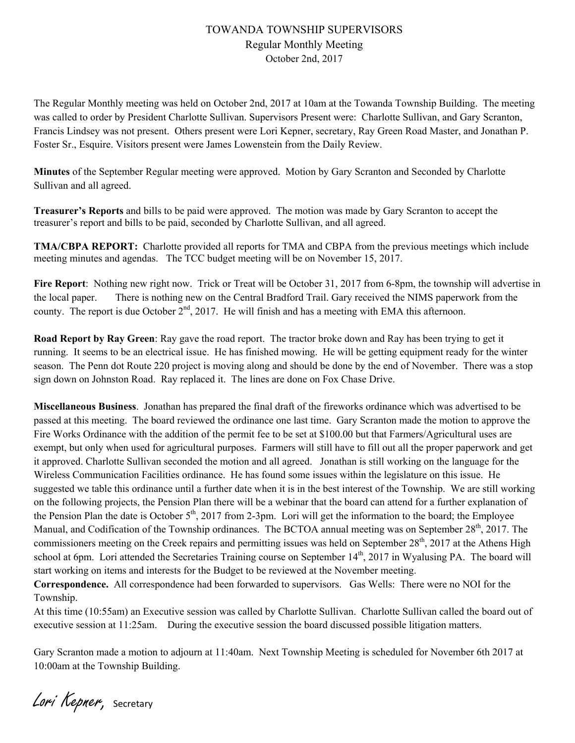### TOWANDA TOWNSHIP SUPERVISORS Regular Monthly Meeting October 2nd, 2017

The Regular Monthly meeting was held on October 2nd, 2017 at 10am at the Towanda Township Building. The meeting was called to order by President Charlotte Sullivan. Supervisors Present were: Charlotte Sullivan, and Gary Scranton, Francis Lindsey was not present. Others present were Lori Kepner, secretary, Ray Green Road Master, and Jonathan P. Foster Sr., Esquire. Visitors present were James Lowenstein from the Daily Review.

**Minutes** of the September Regular meeting were approved. Motion by Gary Scranton and Seconded by Charlotte Sullivan and all agreed.

**Treasurer's Reports** and bills to be paid were approved. The motion was made by Gary Scranton to accept the treasurer's report and bills to be paid, seconded by Charlotte Sullivan, and all agreed.

**TMA/CBPA REPORT:** Charlotte provided all reports for TMA and CBPA from the previous meetings which include meeting minutes and agendas. The TCC budget meeting will be on November 15, 2017.

**Fire Report**: Nothing new right now. Trick or Treat will be October 31, 2017 from 6-8pm, the township will advertise in the local paper. There is nothing new on the Central Bradford Trail. Gary received the NIMS paperwork from the county. The report is due October  $2<sup>nd</sup>$ , 2017. He will finish and has a meeting with EMA this afternoon.

**Road Report by Ray Green**: Ray gave the road report. The tractor broke down and Ray has been trying to get it running. It seems to be an electrical issue. He has finished mowing. He will be getting equipment ready for the winter season. The Penn dot Route 220 project is moving along and should be done by the end of November. There was a stop sign down on Johnston Road. Ray replaced it. The lines are done on Fox Chase Drive.

**Miscellaneous Business**. Jonathan has prepared the final draft of the fireworks ordinance which was advertised to be passed at this meeting. The board reviewed the ordinance one last time. Gary Scranton made the motion to approve the Fire Works Ordinance with the addition of the permit fee to be set at \$100.00 but that Farmers/Agricultural uses are exempt, but only when used for agricultural purposes. Farmers will still have to fill out all the proper paperwork and get it approved. Charlotte Sullivan seconded the motion and all agreed. Jonathan is still working on the language for the Wireless Communication Facilities ordinance. He has found some issues within the legislature on this issue. He suggested we table this ordinance until a further date when it is in the best interest of the Township. We are still working on the following projects, the Pension Plan there will be a webinar that the board can attend for a further explanation of the Pension Plan the date is October  $5<sup>th</sup>$ , 2017 from 2-3pm. Lori will get the information to the board; the Employee Manual, and Codification of the Township ordinances. The BCTOA annual meeting was on September 28<sup>th</sup>, 2017. The commissioners meeting on the Creek repairs and permitting issues was held on September  $28<sup>th</sup>$ , 2017 at the Athens High school at 6pm. Lori attended the Secretaries Training course on September  $14<sup>th</sup>$ , 2017 in Wyalusing PA. The board will start working on items and interests for the Budget to be reviewed at the November meeting.

**Correspondence.** All correspondence had been forwarded to supervisors. Gas Wells: There were no NOI for the Township.

At this time (10:55am) an Executive session was called by Charlotte Sullivan. Charlotte Sullivan called the board out of executive session at 11:25am. During the executive session the board discussed possible litigation matters.

Gary Scranton made a motion to adjourn at 11:40am. Next Township Meeting is scheduled for November 6th 2017 at 10:00am at the Township Building.

Lori Kepner, Secretary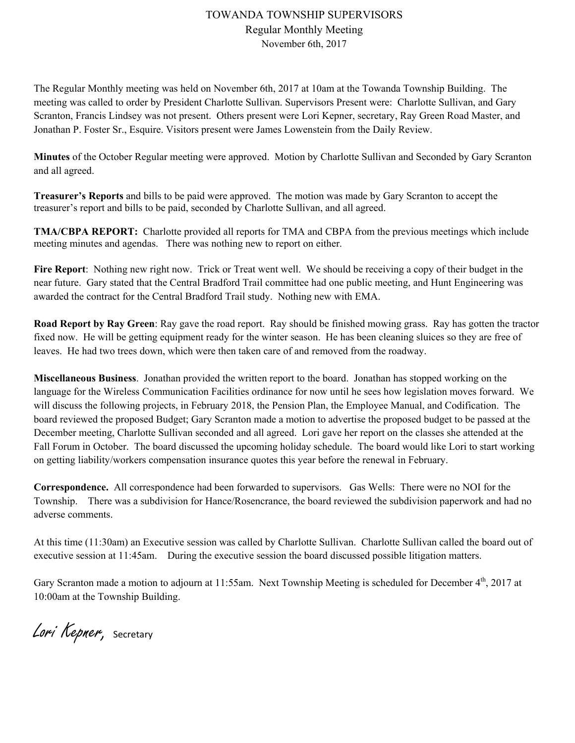# TOWANDA TOWNSHIP SUPERVISORS Regular Monthly Meeting November 6th, 2017

The Regular Monthly meeting was held on November 6th, 2017 at 10am at the Towanda Township Building. The meeting was called to order by President Charlotte Sullivan. Supervisors Present were: Charlotte Sullivan, and Gary Scranton, Francis Lindsey was not present. Others present were Lori Kepner, secretary, Ray Green Road Master, and Jonathan P. Foster Sr., Esquire. Visitors present were James Lowenstein from the Daily Review.

**Minutes** of the October Regular meeting were approved. Motion by Charlotte Sullivan and Seconded by Gary Scranton and all agreed.

**Treasurer's Reports** and bills to be paid were approved. The motion was made by Gary Scranton to accept the treasurer's report and bills to be paid, seconded by Charlotte Sullivan, and all agreed.

**TMA/CBPA REPORT:** Charlotte provided all reports for TMA and CBPA from the previous meetings which include meeting minutes and agendas. There was nothing new to report on either.

**Fire Report**: Nothing new right now. Trick or Treat went well. We should be receiving a copy of their budget in the near future. Gary stated that the Central Bradford Trail committee had one public meeting, and Hunt Engineering was awarded the contract for the Central Bradford Trail study. Nothing new with EMA.

**Road Report by Ray Green**: Ray gave the road report. Ray should be finished mowing grass. Ray has gotten the tractor fixed now. He will be getting equipment ready for the winter season. He has been cleaning sluices so they are free of leaves. He had two trees down, which were then taken care of and removed from the roadway.

**Miscellaneous Business**. Jonathan provided the written report to the board. Jonathan has stopped working on the language for the Wireless Communication Facilities ordinance for now until he sees how legislation moves forward. We will discuss the following projects, in February 2018, the Pension Plan, the Employee Manual, and Codification. The board reviewed the proposed Budget; Gary Scranton made a motion to advertise the proposed budget to be passed at the December meeting, Charlotte Sullivan seconded and all agreed. Lori gave her report on the classes she attended at the Fall Forum in October. The board discussed the upcoming holiday schedule. The board would like Lori to start working on getting liability/workers compensation insurance quotes this year before the renewal in February.

**Correspondence.** All correspondence had been forwarded to supervisors. Gas Wells: There were no NOI for the Township. There was a subdivision for Hance/Rosencrance, the board reviewed the subdivision paperwork and had no adverse comments.

At this time (11:30am) an Executive session was called by Charlotte Sullivan. Charlotte Sullivan called the board out of executive session at 11:45am. During the executive session the board discussed possible litigation matters.

Gary Scranton made a motion to adjourn at 11:55am. Next Township Meeting is scheduled for December 4<sup>th</sup>, 2017 at 10:00am at the Township Building.

Lori Kepner, Secretary